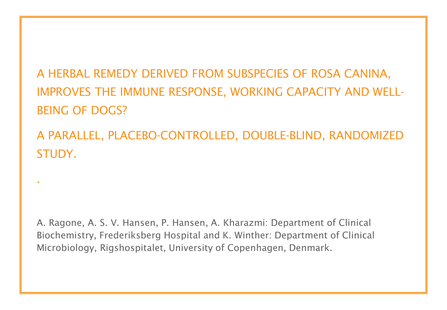A HERBAL REMEDY DERIVED FROM SUBSPECIES OF ROSA CANINA, IMPROVES THE IMMUNE RESPONSE, WORKING CAPACITY AND WELL-BEING OF DOGS?

A PARALLEL, PLACEBO-CONTROLLED, DOUBLE-BLIND, RANDOMIZED STUDY.

A. Ragone, A. S. V. Hansen, P. Hansen, A. Kharazmi: Department of Clinical Biochemistry, Frederiksberg Hospital and K. Winther: Department of Clinical Microbiology, Rigshospitalet, University of Copenhagen, Denmark.

.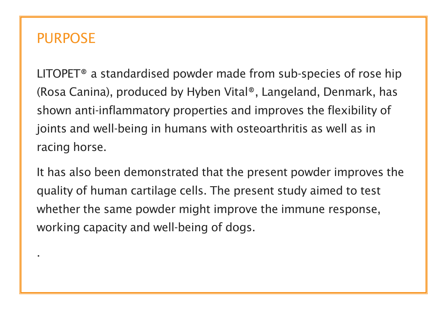#### PURPOSE

.

LITOPET® a standardised powder made from sub-species of rose hip (Rosa Canina), produced by Hyben Vital®, Langeland, Denmark, has shown anti-inflammatory properties and improves the flexibility of joints and well-being in humans with osteoarthritis as well as in racing horse.

It has also been demonstrated that the present powder improves the quality of human cartilage cells. The present study aimed to test whether the same powder might improve the immune response, working capacity and well-being of dogs.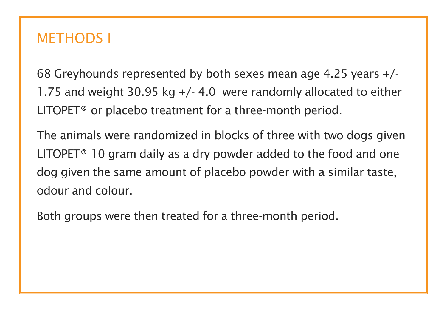#### METHODS I

68 Greyhounds represented by both sexes mean age 4.25 years +/- 1.75 and weight 30.95 kg +/- 4.0 were randomly allocated to either LITOPET® or placebo treatment for a three-month period.

The animals were randomized in blocks of three with two dogs given LITOPET® 10 gram daily as a dry powder added to the food and one dog given the same amount of placebo powder with a similar taste, odour and colour.

Both groups were then treated for a three-month period.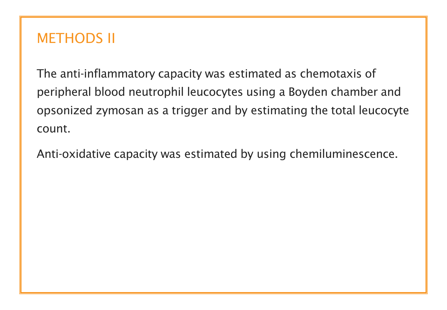### METHODS II

The anti-inflammatory capacity was estimated as chemotaxis of peripheral blood neutrophil leucocytes using a Boyden chamber and opsonized zymosan as a trigger and by estimating the total leucocyte count.

Anti-oxidative capacity was estimated by using chemiluminescence.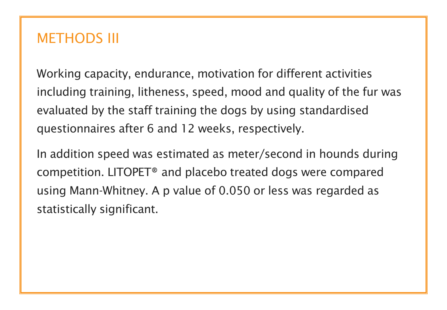#### METHODS III

Working capacity, endurance, motivation for different activities including training, litheness, speed, mood and quality of the fur was evaluated by the staff training the dogs by using standardised questionnaires after 6 and 12 weeks, respectively.

In addition speed was estimated as meter/second in hounds during competition. LITOPET® and placebo treated dogs were compared using Mann-Whitney. A p value of 0.050 or less was regarded as statistically significant.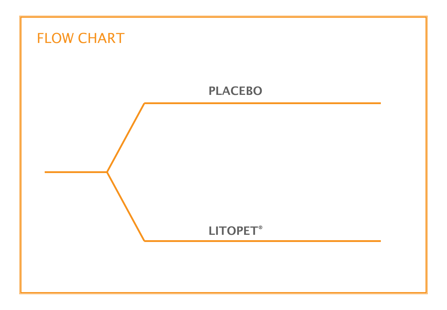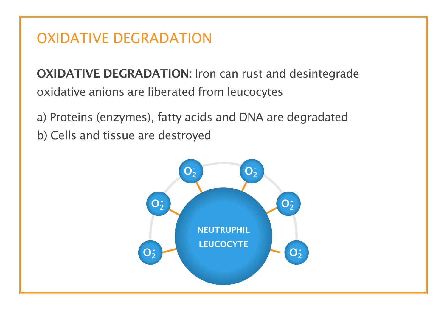# OXIDATIVE DEGRADATION

**OXIDATIVE DEGRADATION: Iron can rust and desintegrade** oxidative anions are liberated from leucocytes

a) Proteins (enzymes), fatty acids and DNA are degradated b) Cells and tissue are destroyed

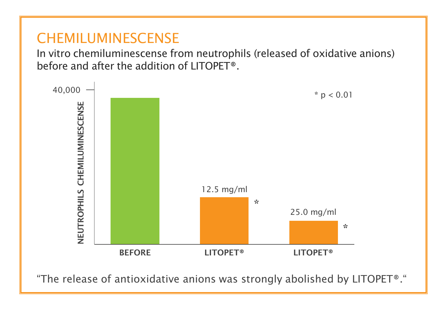# CHEMILUMINESCENSE

In vitro chemiluminescense from neutrophils (released of oxidative anions) before and after the addition of LITOPET®.

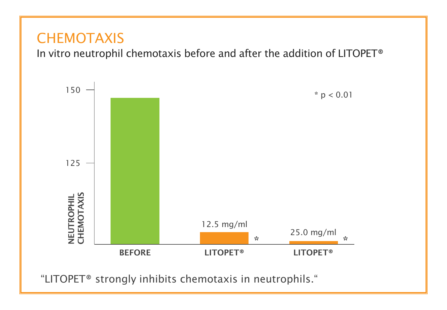### **CHEMOTAXIS**

In vitro neutrophil chemotaxis before and after the addition of LITOPET®

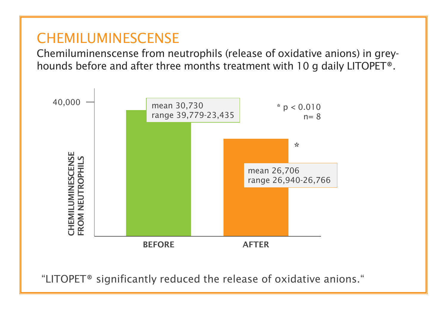# CHEMILUMINESCENSE

Chemiluminenscense from neutrophils (release of oxidative anions) in greyhounds before and after three months treatment with 10 g daily LITOPET®.

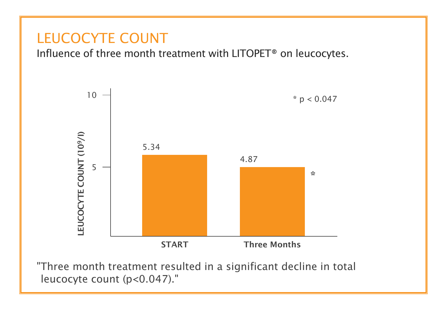# LEUCOCYTE COUNT

Influence of three month treatment with LITOPET® on leucocytes.



"Three month treatment resulted in a significant decline in total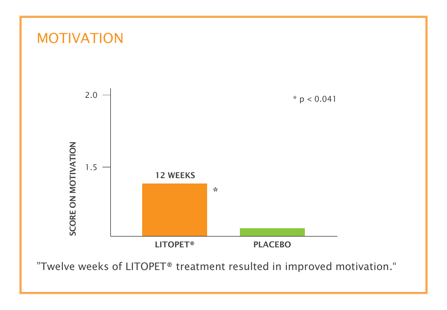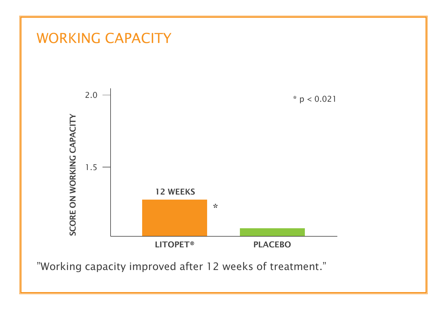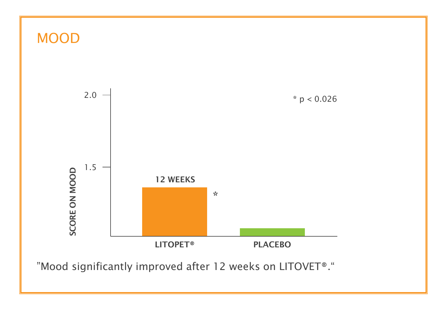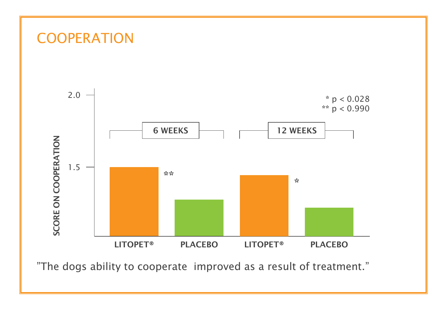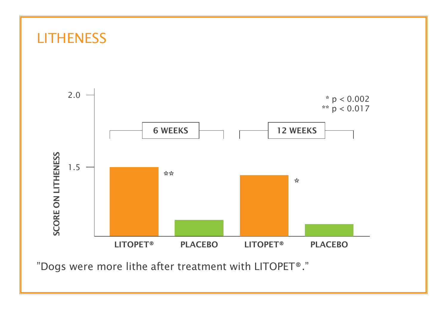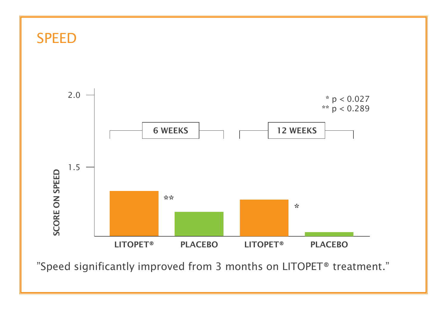

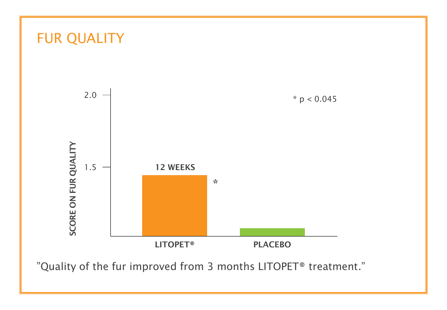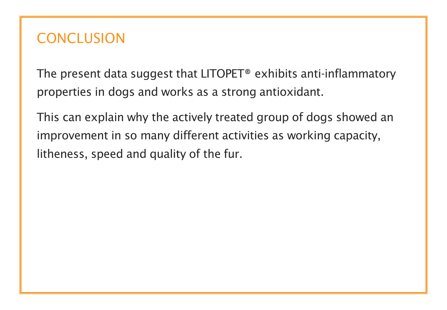### **CONCLUSION**

The present data suggest that LITOPET® exhibits anti-inflammatory properties in dogs and works as a strong antioxidant.

This can explain why the actively treated group of dogs showed an improvement in so many different activities as working capacity, litheness, speed and quality of the fur.